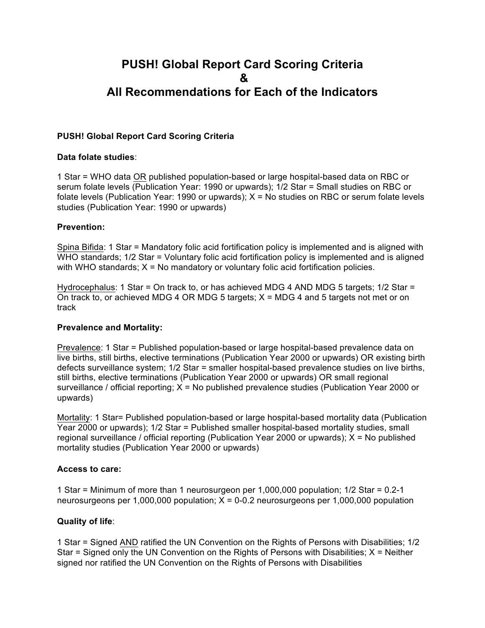# **PUSH! Global Report Card Scoring Criteria & All Recommendations for Each of the Indicators**

## **PUSH! Global Report Card Scoring Criteria**

#### **Data folate studies**:

1 Star = WHO data OR published population-based or large hospital-based data on RBC or serum folate levels (Publication Year: 1990 or upwards); 1/2 Star = Small studies on RBC or folate levels (Publication Year: 1990 or upwards);  $X = No$  studies on RBC or serum folate levels studies (Publication Year: 1990 or upwards)

### **Prevention:**

Spina Bifida: 1 Star = Mandatory folic acid fortification policy is implemented and is aligned with WHO standards;  $1/2$  Star = Voluntary folic acid fortification policy is implemented and is aligned with WHO standards;  $X = No$  mandatory or voluntary folic acid fortification policies.

Hydrocephalus: 1 Star = On track to, or has achieved MDG 4 AND MDG 5 targets; 1/2 Star = On track to, or achieved MDG 4 OR MDG 5 targets;  $X = MDG$  4 and 5 targets not met or on track

#### **Prevalence and Mortality:**

Prevalence: 1 Star = Published population-based or large hospital-based prevalence data on live births, still births, elective terminations (Publication Year 2000 or upwards) OR existing birth defects surveillance system; 1/2 Star = smaller hospital-based prevalence studies on live births, still births, elective terminations (Publication Year 2000 or upwards) OR small regional surveillance / official reporting;  $X = No$  published prevalence studies (Publication Year 2000 or upwards)

Mortality: 1 Star= Published population-based or large hospital-based mortality data (Publication Year 2000 or upwards); 1/2 Star = Published smaller hospital-based mortality studies, small regional surveillance / official reporting (Publication Year 2000 or upwards); X = No published mortality studies (Publication Year 2000 or upwards)

#### **Access to care:**

1 Star = Minimum of more than 1 neurosurgeon per 1,000,000 population; 1/2 Star = 0.2-1 neurosurgeons per 1,000,000 population;  $X = 0-0.2$  neurosurgeons per 1,000,000 population

# **Quality of life**:

1 Star = Signed AND ratified the UN Convention on the Rights of Persons with Disabilities; 1/2 Star  $=$  Signed only the UN Convention on the Rights of Persons with Disabilities;  $X =$  Neither signed nor ratified the UN Convention on the Rights of Persons with Disabilities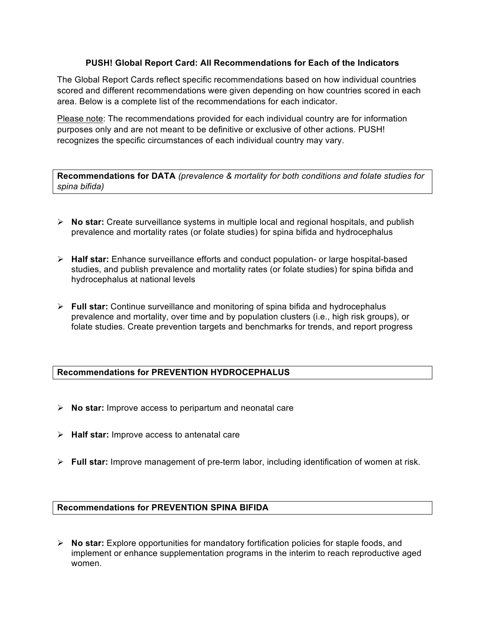# **PUSH! Global Report Card: All Recommendations for Each of the Indicators**

The Global Report Cards reflect specific recommendations based on how individual countries scored and different recommendations were given depending on how countries scored in each area. Below is a complete list of the recommendations for each indicator.

Please note: The recommendations provided for each individual country are for information purposes only and are not meant to be definitive or exclusive of other actions. PUSH! recognizes the specific circumstances of each individual country may vary.

**Recommendations for DATA** *(prevalence & mortality for both conditions and folate studies for spina bifida)*

- Ø **No star:** Create surveillance systems in multiple local and regional hospitals, and publish prevalence and mortality rates (or folate studies) for spina bifida and hydrocephalus
- Ø **Half star:** Enhance surveillance efforts and conduct population- or large hospital-based studies, and publish prevalence and mortality rates (or folate studies) for spina bifida and hydrocephalus at national levels
- Ø **Full star:** Continue surveillance and monitoring of spina bifida and hydrocephalus prevalence and mortality, over time and by population clusters (i.e., high risk groups), or folate studies. Create prevention targets and benchmarks for trends, and report progress

# **Recommendations for PREVENTION HYDROCEPHALUS**

- Ø **No star:** Improve access to peripartum and neonatal care
- Ø **Half star:** Improve access to antenatal care
- Ø **Full star:** Improve management of pre-term labor, including identification of women at risk.

# **Recommendations for PREVENTION SPINA BIFIDA**

Ø **No star:** Explore opportunities for mandatory fortification policies for staple foods, and implement or enhance supplementation programs in the interim to reach reproductive aged women.